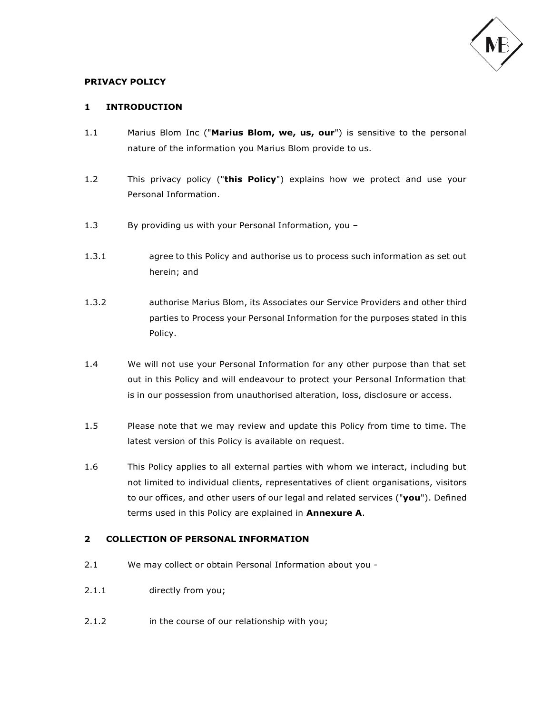

### **PRIVACY POLICY**

### **1 INTRODUCTION**

- 1.1 Marius Blom Inc ("**Marius Blom, we, us, our**") is sensitive to the personal nature of the information you Marius Blom provide to us.
- 1.2 This privacy policy ("**this Policy**") explains how we protect and use your Personal Information.
- 1.3 By providing us with your Personal Information, you –
- 1.3.1 agree to this Policy and authorise us to process such information as set out herein; and
- 1.3.2 authorise Marius Blom, its Associates our Service Providers and other third parties to Process your Personal Information for the purposes stated in this Policy.
- 1.4 We will not use your Personal Information for any other purpose than that set out in this Policy and will endeavour to protect your Personal Information that is in our possession from unauthorised alteration, loss, disclosure or access.
- 1.5 Please note that we may review and update this Policy from time to time. The latest version of this Policy is available on request.
- 1.6 This Policy applies to all external parties with whom we interact, including but not limited to individual clients, representatives of client organisations, visitors to our offices, and other users of our legal and related services ("**you**"). Defined terms used in this Policy are explained in **Annexure A**.

### **2 COLLECTION OF PERSONAL INFORMATION**

- 2.1 We may collect or obtain Personal Information about you -
- 2.1.1 directly from you;
- 2.1.2 in the course of our relationship with you;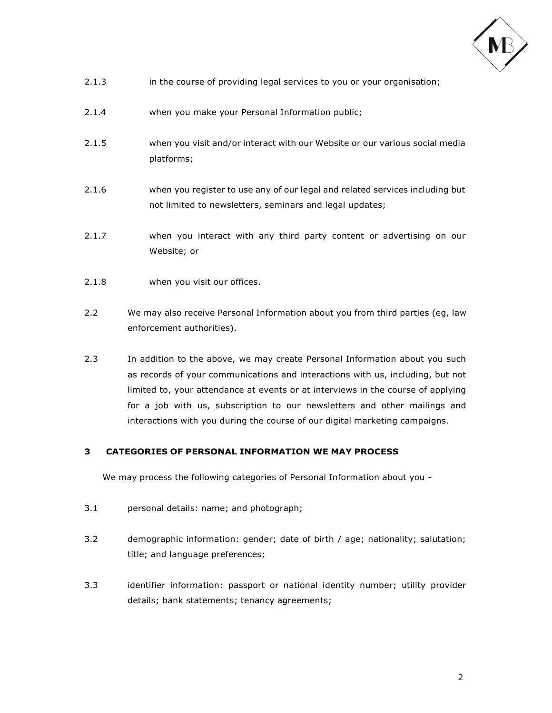

- 2.1.3 in the course of providing legal services to you or your organisation;
- 2.1.4 when you make your Personal Information public;
- 2.1.5 when you visit and/or interact with our Website or our various social media platforms;
- 2.1.6 when you register to use any of our legal and related services including but not limited to newsletters, seminars and legal updates;
- 2.1.7 when you interact with any third party content or advertising on our Website; or
- 2.1.8 when you visit our offices.
- 2.2 We may also receive Personal Information about you from third parties (eg, law enforcement authorities).
- 2.3 In addition to the above, we may create Personal Information about you such as records of your communications and interactions with us, including, but not limited to, your attendance at events or at interviews in the course of applying for a job with us, subscription to our newsletters and other mailings and interactions with you during the course of our digital marketing campaigns.

## **3 CATEGORIES OF PERSONAL INFORMATION WE MAY PROCESS**

We may process the following categories of Personal Information about you -

- 3.1 personal details: name; and photograph;
- 3.2 demographic information: gender; date of birth / age; nationality; salutation; title; and language preferences;
- 3.3 identifier information: passport or national identity number; utility provider details; bank statements; tenancy agreements;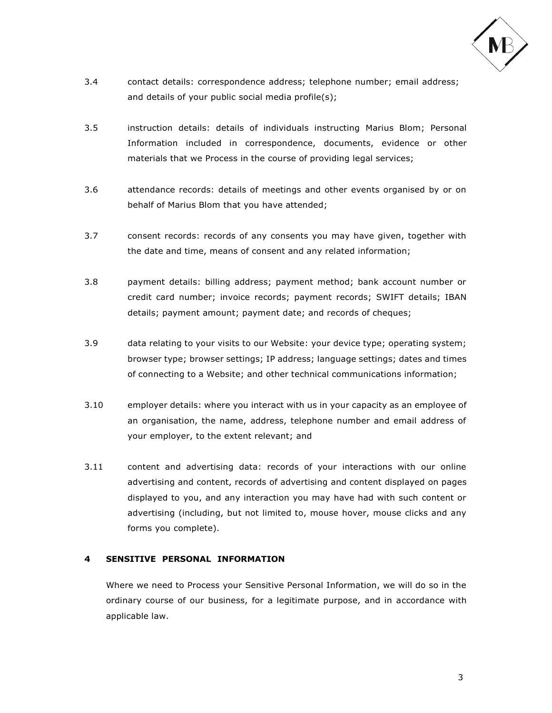

- 3.4 contact details: correspondence address; telephone number; email address; and details of your public social media profile(s);
- 3.5 instruction details: details of individuals instructing Marius Blom; Personal Information included in correspondence, documents, evidence or other materials that we Process in the course of providing legal services;
- 3.6 attendance records: details of meetings and other events organised by or on behalf of Marius Blom that you have attended;
- 3.7 consent records: records of any consents you may have given, together with the date and time, means of consent and any related information;
- 3.8 payment details: billing address; payment method; bank account number or credit card number; invoice records; payment records; SWIFT details; IBAN details; payment amount; payment date; and records of cheques;
- 3.9 data relating to your visits to our Website: your device type; operating system; browser type; browser settings; IP address; language settings; dates and times of connecting to a Website; and other technical communications information;
- 3.10 employer details: where you interact with us in your capacity as an employee of an organisation, the name, address, telephone number and email address of your employer, to the extent relevant; and
- 3.11 content and advertising data: records of your interactions with our online advertising and content, records of advertising and content displayed on pages displayed to you, and any interaction you may have had with such content or advertising (including, but not limited to, mouse hover, mouse clicks and any forms you complete).

# **4 SENSITIVE PERSONAL INFORMATION**

Where we need to Process your Sensitive Personal Information, we will do so in the ordinary course of our business, for a legitimate purpose, and in accordance with applicable law.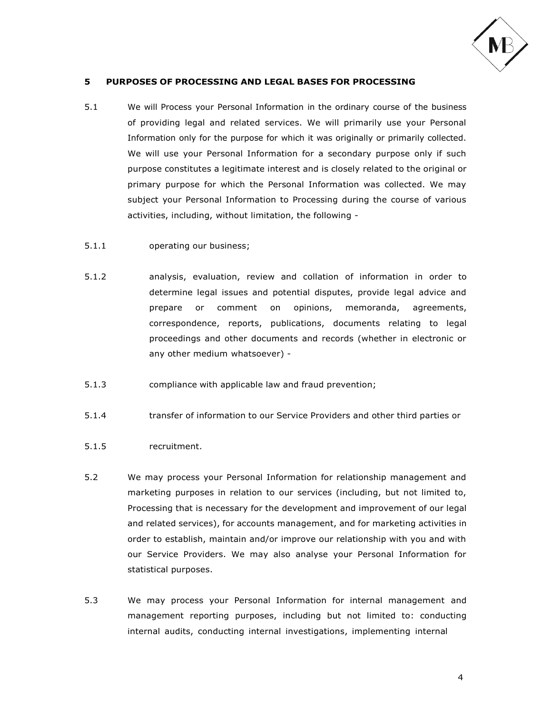

#### **5 PURPOSES OF PROCESSING AND LEGAL BASES FOR PROCESSING**

- 5.1 We will Process your Personal Information in the ordinary course of the business of providing legal and related services. We will primarily use your Personal Information only for the purpose for which it was originally or primarily collected. We will use your Personal Information for a secondary purpose only if such purpose constitutes a legitimate interest and is closely related to the original or primary purpose for which the Personal Information was collected. We may subject your Personal Information to Processing during the course of various activities, including, without limitation, the following -
- 5.1.1 operating our business;
- 5.1.2 analysis, evaluation, review and collation of information in order to determine legal issues and potential disputes, provide legal advice and prepare or comment on opinions, memoranda, agreements, correspondence, reports, publications, documents relating to legal proceedings and other documents and records (whether in electronic or any other medium whatsoever) -
- 5.1.3 compliance with applicable law and fraud prevention;
- 5.1.4 transfer of information to our Service Providers and other third parties or
- 5.1.5 recruitment.
- 5.2 We may process your Personal Information for relationship management and marketing purposes in relation to our services (including, but not limited to, Processing that is necessary for the development and improvement of our legal and related services), for accounts management, and for marketing activities in order to establish, maintain and/or improve our relationship with you and with our Service Providers. We may also analyse your Personal Information for statistical purposes.
- 5.3 We may process your Personal Information for internal management and management reporting purposes, including but not limited to: conducting internal audits, conducting internal investigations, implementing internal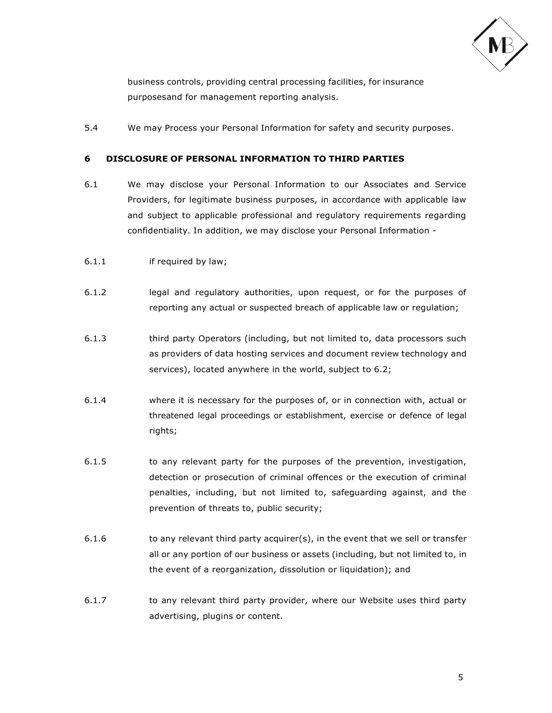

business controls, providing central processing facilities, for insurance purposesand for management reporting analysis.

5.4 We may Process your Personal Information for safety and security purposes.

## **6 DISCLOSURE OF PERSONAL INFORMATION TO THIRD PARTIES**

- 6.1 We may disclose your Personal Information to our Associates and Service Providers, for legitimate business purposes, in accordance with applicable law and subject to applicable professional and regulatory requirements regarding confidentiality. In addition, we may disclose your Personal Information -
- 6.1.1 if required by law;
- 6.1.2 legal and regulatory authorities, upon request, or for the purposes of reporting any actual or suspected breach of applicable law or regulation;
- 6.1.3 third party Operators (including, but not limited to, data processors such as providers of data hosting services and document review technology and services), located anywhere in the world, subject to 6.2;
- 6.1.4 where it is necessary for the purposes of, or in connection with, actual or threatened legal proceedings or establishment, exercise or defence of legal rights;
- 6.1.5 to any relevant party for the purposes of the prevention, investigation, detection or prosecution of criminal offences or the execution of criminal penalties, including, but not limited to, safeguarding against, and the prevention of threats to, public security;
- $6.1.6$  to any relevant third party acquirer(s), in the event that we sell or transfer all or any portion of our business or assets (including, but not limited to, in the event of a reorganization, dissolution or liquidation); and
- 6.1.7 to any relevant third party provider, where our Website uses third party advertising, plugins or content.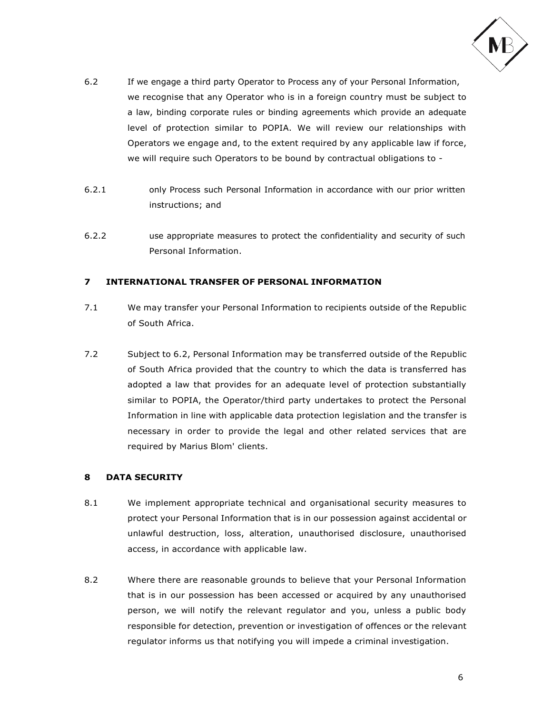

- 6.2 If we engage a third party Operator to Process any of your Personal Information, we recognise that any Operator who is in a foreign country must be subject to a law, binding corporate rules or binding agreements which provide an adequate level of protection similar to POPIA. We will review our relationships with Operators we engage and, to the extent required by any applicable law if force, we will require such Operators to be bound by contractual obligations to -
- 6.2.1 only Process such Personal Information in accordance with our prior written instructions; and
- 6.2.2 use appropriate measures to protect the confidentiality and security of such Personal Information.

# **7 INTERNATIONAL TRANSFER OF PERSONAL INFORMATION**

- 7.1 We may transfer your Personal Information to recipients outside of the Republic of South Africa.
- 7.2 Subject to 6.2, Personal Information may be transferred outside of the Republic of South Africa provided that the country to which the data is transferred has adopted a law that provides for an adequate level of protection substantially similar to POPIA, the Operator/third party undertakes to protect the Personal Information in line with applicable data protection legislation and the transfer is necessary in order to provide the legal and other related services that are required by Marius Blom' clients.

# **8 DATA SECURITY**

- 8.1 We implement appropriate technical and organisational security measures to protect your Personal Information that is in our possession against accidental or unlawful destruction, loss, alteration, unauthorised disclosure, unauthorised access, in accordance with applicable law.
- 8.2 Where there are reasonable grounds to believe that your Personal Information that is in our possession has been accessed or acquired by any unauthorised person, we will notify the relevant regulator and you, unless a public body responsible for detection, prevention or investigation of offences or the relevant regulator informs us that notifying you will impede a criminal investigation.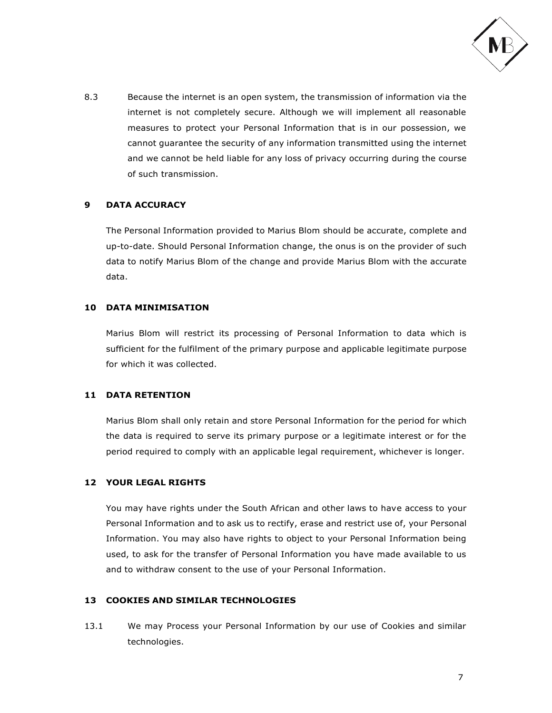

8.3 Because the internet is an open system, the transmission of information via the internet is not completely secure. Although we will implement all reasonable measures to protect your Personal Information that is in our possession, we cannot guarantee the security of any information transmitted using the internet and we cannot be held liable for any loss of privacy occurring during the course of such transmission.

# **9 DATA ACCURACY**

The Personal Information provided to Marius Blom should be accurate, complete and up-to-date. Should Personal Information change, the onus is on the provider of such data to notify Marius Blom of the change and provide Marius Blom with the accurate data.

# **10 DATA MINIMISATION**

Marius Blom will restrict its processing of Personal Information to data which is sufficient for the fulfilment of the primary purpose and applicable legitimate purpose for which it was collected.

# **11 DATA RETENTION**

Marius Blom shall only retain and store Personal Information for the period for which the data is required to serve its primary purpose or a legitimate interest or for the period required to comply with an applicable legal requirement, whichever is longer.

# **12 YOUR LEGAL RIGHTS**

You may have rights under the South African and other laws to have access to your Personal Information and to ask us to rectify, erase and restrict use of, your Personal Information. You may also have rights to object to your Personal Information being used, to ask for the transfer of Personal Information you have made available to us and to withdraw consent to the use of your Personal Information.

### **13 COOKIES AND SIMILAR TECHNOLOGIES**

13.1 We may Process your Personal Information by our use of Cookies and similar technologies.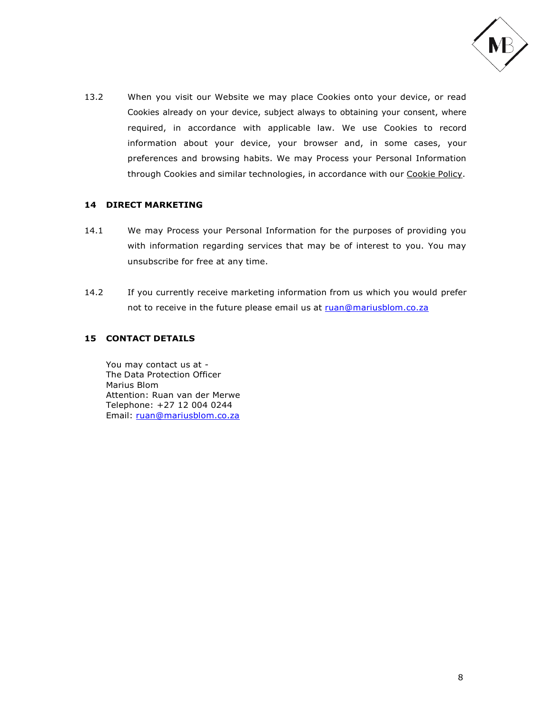

13.2 When you visit our Website we may place Cookies onto your device, or read Cookies already on your device, subject always to obtaining your consent, where required, in accordance with applicable law. We use Cookies to record information about your device, your browser and, in some cases, your preferences and browsing habits. We may Process your Personal Information through Cookies and similar technologies, in accordance with our Cookie Policy.

# **14 DIRECT MARKETING**

- 14.1 We may Process your Personal Information for the purposes of providing you with information regarding services that may be of interest to you. You may unsubscribe for free at any time.
- 14.2 If you currently receive marketing information from us which you would prefer not to receive in the future please email us at [ruan@mariusblom.co.za](mailto:ruan@mariusblom.co.za)

# **15 CONTACT DETAILS**

You may contact us at - The Data Protection Officer Marius Blom Attention: Ruan van der Merwe Telephone: +27 12 004 0244 Email: [ruan@mariusblom.co.za](mailto:ruan@mariusblom.co.za)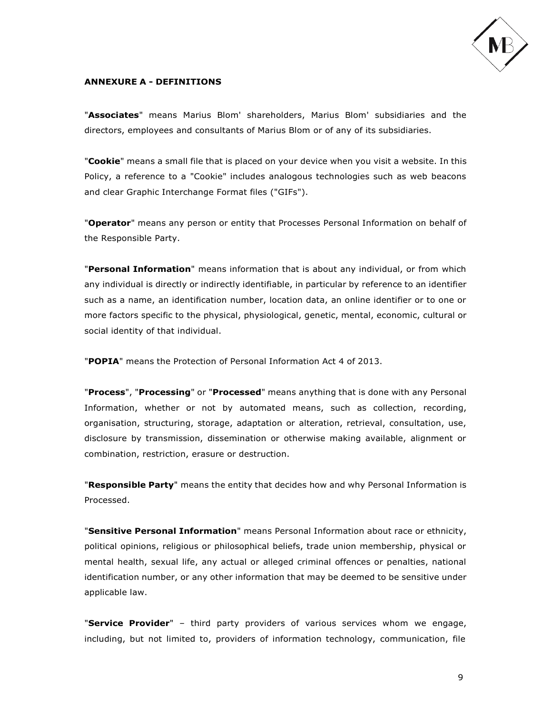

## **ANNEXURE A - DEFINITIONS**

"**Associates**" means Marius Blom' shareholders, Marius Blom' subsidiaries and the directors, employees and consultants of Marius Blom or of any of its subsidiaries.

"**Cookie**" means a small file that is placed on your device when you visit a website. In this Policy, a reference to a "Cookie" includes analogous technologies such as web beacons and clear Graphic Interchange Format files ("GIFs").

"**Operator**" means any person or entity that Processes Personal Information on behalf of the Responsible Party.

"**Personal Information**" means information that is about any individual, or from which any individual is directly or indirectly identifiable, in particular by reference to an identifier such as a name, an identification number, location data, an online identifier or to one or more factors specific to the physical, physiological, genetic, mental, economic, cultural or social identity of that individual.

"**POPIA**" means the Protection of Personal Information Act 4 of 2013.

"**Process**", "**Processing**" or "**Processed**" means anything that is done with any Personal Information, whether or not by automated means, such as collection, recording, organisation, structuring, storage, adaptation or alteration, retrieval, consultation, use, disclosure by transmission, dissemination or otherwise making available, alignment or combination, restriction, erasure or destruction.

"**Responsible Party**" means the entity that decides how and why Personal Information is Processed.

"**Sensitive Personal Information**" means Personal Information about race or ethnicity, political opinions, religious or philosophical beliefs, trade union membership, physical or mental health, sexual life, any actual or alleged criminal offences or penalties, national identification number, or any other information that may be deemed to be sensitive under applicable law.

"**Service Provider**" – third party providers of various services whom we engage, including, but not limited to, providers of information technology, communication, file